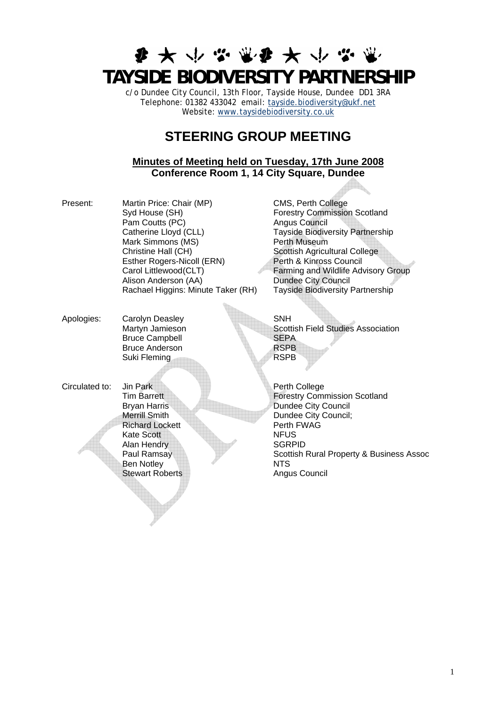# **要大小学家要大小学 TAYSIDE BIODIVERSITY PARTNERSHIP**

c/o Dundee City Council, 13th Floor, Tayside House, Dundee DD1 3RA Telephone: 01382 433042 email: [tayside.biodiversity@ukf.net](mailto:tayside.biodiversity@ukf.net)  Website: www.taysidebiodiversity.co.uk

## **STEERING GROUP MEETING**

### **Minutes of Meeting held on Tuesday, 17th June 2008 Conference Room 1, 14 City Square, Dundee**

Present: Martin Price: Chair (MP) CMS, Perth College Syd House (SH) Forestry Commission Scotland Pam Coutts (PC) Angus Council Catherine Lloyd (CLL) Tayside Biodiversity Partnership Mark Simmons (MS) Perth Museum Christine Hall (CH) Scottish Agricultural College Esther Rogers-Nicoll (ERN) Perth & Kinross Council Alison Anderson (AA) Rachael Higgins: Minute Taker (RH) Tayside Biodiversity Partnership

Carol Littlewood (CLT)  $\begin{array}{ccc} 7 & 7 & 7 \\ 1 & 7 & 7 \end{array}$  Farming and Wildlife Advisory Group<br>Alison Anderson (AA) Dundee City Council

Apologies: Carolyn Deasley SNH Bruce Campbell<br>Bruce Anderson<br>RSPB Bruce Anderson Suki Fleming RSPB

Martyn Jamieson Scottish Field Studies Association<br>Bruce Campbell SEPA

Circulated to: Jin Park Perth College **Richard Lockett** Kate Scott NFUS Alan Hendry SGRPID<br>
Paul Ramsay Scottish<br>
Scottish Ben Notley NTS Stewart Roberts **Angus Council** 

**Tim Barrett Forestry Commission Scotland** Bryan Harris Dundee City Council Merrill Smith Dundee City Council;<br>
Richard Lockett Perth FWAG Scottish Rural Property & Business Assoc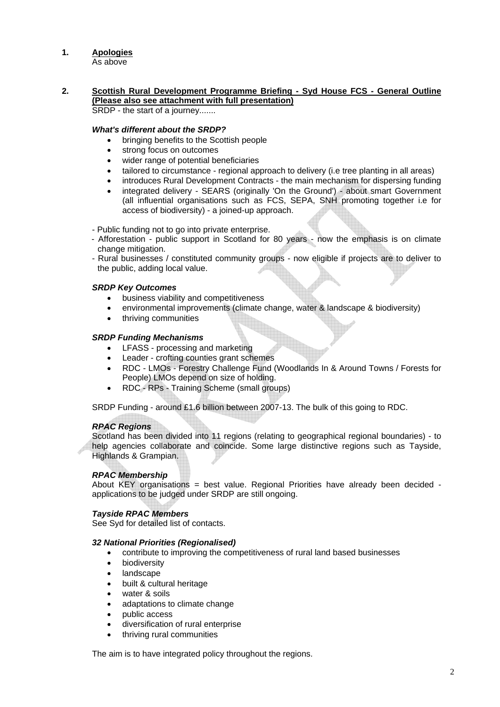#### **1. Apologies**

As above

#### **2. Scottish Rural Development Programme Briefing - Syd House FCS - General Outline (Please also see attachment with full presentation)** SRDP - the start of a journey.......

### *What's different about the SRDP?*

- bringing benefits to the Scottish people
- strong focus on outcomes
- wider range of potential beneficiaries
- tailored to circumstance regional approach to delivery (i.e tree planting in all areas)
- introduces Rural Development Contracts the main mechanism for dispersing funding
- integrated delivery SEARS (originally 'On the Ground') about smart Government (all influential organisations such as FCS, SEPA, SNH promoting together i.e for access of biodiversity) - a joined-up approach.
- Public funding not to go into private enterprise.
- Afforestation public support in Scotland for 80 years now the emphasis is on climate change mitigation.
- Rural businesses / constituted community groups now eligible if projects are to deliver to the public, adding local value.

### *SRDP Key Outcomes*

- business viability and competitiveness
- environmental improvements (climate change, water & landscape & biodiversity)
- thriving communities

### *SRDP Funding Mechanisms*

- LFASS processing and marketing
- Leader crofting counties grant schemes
- RDC LMOs Forestry Challenge Fund (Woodlands In & Around Towns / Forests for People) LMOs depend on size of holding.
- RDC RPs Training Scheme (small groups)

SRDP Funding - around £1.6 billion between 2007-13. The bulk of this going to RDC.

### *RPAC Regions*

Scotland has been divided into 11 regions (relating to geographical regional boundaries) - to help agencies collaborate and coincide. Some large distinctive regions such as Tayside, Highlands & Grampian.

### *RPAC Membership*

About KEY organisations = best value. Regional Priorities have already been decided applications to be judged under SRDP are still ongoing.

### *Tayside RPAC Members*

See Syd for detailed list of contacts.

#### *32 National Priorities (Regionalised)*

- contribute to improving the competitiveness of rural land based businesses
- **biodiversity**
- landscape
- built & cultural heritage
- water & soils
- adaptations to climate change
- public access
- diversification of rural enterprise
- thriving rural communities

The aim is to have integrated policy throughout the regions.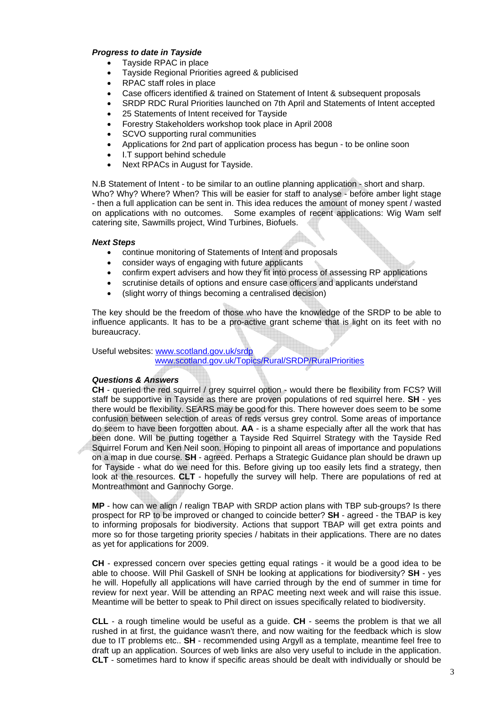#### *Progress to date in Tayside*

- Tayside RPAC in place
- Tayside Regional Priorities agreed & publicised
- RPAC staff roles in place
- Case officers identified & trained on Statement of Intent & subsequent proposals
- SRDP RDC Rural Priorities launched on 7th April and Statements of Intent accepted
- 25 Statements of Intent received for Tayside
- Forestry Stakeholders workshop took place in April 2008
- SCVO supporting rural communities
- Applications for 2nd part of application process has begun to be online soon
- I.T support behind schedule
- Next RPACs in August for Tayside.

N.B Statement of Intent - to be similar to an outline planning application - short and sharp. Who? Why? Where? When? This will be easier for staff to analyse - before amber light stage - then a full application can be sent in. This idea reduces the amount of money spent / wasted on applications with no outcomes. Some examples of recent applications: Wig Wam self catering site, Sawmills project, Wind Turbines, Biofuels.

#### *Next Steps*

- continue monitoring of Statements of Intent and proposals
- consider ways of engaging with future applicants
- confirm expert advisers and how they fit into process of assessing RP applications
- scrutinise details of options and ensure case officers and applicants understand
- (slight worry of things becoming a centralised decision)

The key should be the freedom of those who have the knowledge of the SRDP to be able to influence applicants. It has to be a pro-active grant scheme that is light on its feet with no bureaucracy.

Useful websites: [www.scotland.gov.uk/srdp](http://www.scotland.gov.uk/srdp)

[www.scotland.gov.uk/Topics/Rural/SRDP/RuralPriorities](http://www.scotland.gov.uk/Topics/Rural/SRDP/RuralPriorities)

#### *Questions & Answers*

**CH** - queried the red squirrel / grey squirrel option - would there be flexibility from FCS? Will staff be supportive in Tayside as there are proven populations of red squirrel here. **SH** - yes there would be flexibility. SEARS may be good for this. There however does seem to be some confusion between selection of areas of reds versus grey control. Some areas of importance do seem to have been forgotten about. **AA** - is a shame especially after all the work that has been done. Will be putting together a Tayside Red Squirrel Strategy with the Tayside Red Squirrel Forum and Ken Neil soon. Hoping to pinpoint all areas of importance and populations on a map in due course. **SH** - agreed. Perhaps a Strategic Guidance plan should be drawn up for Tayside - what do we need for this. Before giving up too easily lets find a strategy, then look at the resources. **CLT** - hopefully the survey will help. There are populations of red at Montreathmont and Gannochy Gorge.

**MP** - how can we align / realign TBAP with SRDP action plans with TBP sub-groups? Is there prospect for RP to be improved or changed to coincide better? **SH** - agreed - the TBAP is key to informing proposals for biodiversity. Actions that support TBAP will get extra points and more so for those targeting priority species / habitats in their applications. There are no dates as yet for applications for 2009.

**CH** - expressed concern over species getting equal ratings - it would be a good idea to be able to choose. Will Phil Gaskell of SNH be looking at applications for biodiversity? **SH** - yes he will. Hopefully all applications will have carried through by the end of summer in time for review for next year. Will be attending an RPAC meeting next week and will raise this issue. Meantime will be better to speak to Phil direct on issues specifically related to biodiversity.

**CLL** - a rough timeline would be useful as a guide. **CH** - seems the problem is that we all rushed in at first, the guidance wasn't there, and now waiting for the feedback which is slow due to IT problems etc.. **SH** - recommended using Argyll as a template, meantime feel free to draft up an application. Sources of web links are also very useful to include in the application. **CLT** - sometimes hard to know if specific areas should be dealt with individually or should be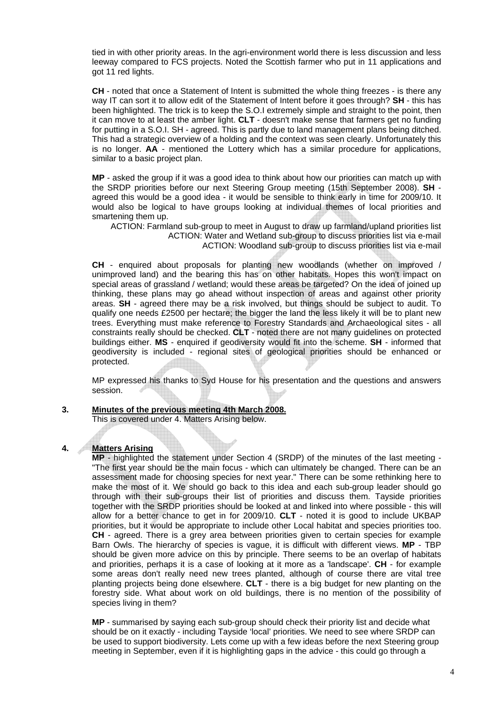tied in with other priority areas. In the agri-environment world there is less discussion and less leeway compared to FCS projects. Noted the Scottish farmer who put in 11 applications and got 11 red lights.

**CH** - noted that once a Statement of Intent is submitted the whole thing freezes - is there any way IT can sort it to allow edit of the Statement of Intent before it goes through? **SH** - this has been highlighted. The trick is to keep the S.O.I extremely simple and straight to the point, then it can move to at least the amber light. **CLT** - doesn't make sense that farmers get no funding for putting in a S.O.I. SH - agreed. This is partly due to land management plans being ditched. This had a strategic overview of a holding and the context was seen clearly. Unfortunately this is no longer. **AA** - mentioned the Lottery which has a similar procedure for applications, similar to a basic project plan.

**MP** - asked the group if it was a good idea to think about how our priorities can match up with the SRDP priorities before our next Steering Group meeting (15th September 2008). **SH** agreed this would be a good idea - it would be sensible to think early in time for 2009/10. It would also be logical to have groups looking at individual themes of local priorities and smartening them up.

ACTION: Farmland sub-group to meet in August to draw up farmland/upland priorities list ACTION: Water and Wetland sub-group to discuss priorities list via e-mail ACTION: Woodland sub-group to discuss priorities list via e-mail

**CH** - enquired about proposals for planting new woodlands (whether on improved / unimproved land) and the bearing this has on other habitats. Hopes this won't impact on special areas of grassland / wetland; would these areas be targeted? On the idea of joined up thinking, these plans may go ahead without inspection of areas and against other priority areas. **SH** - agreed there may be a risk involved, but things should be subject to audit. To qualify one needs £2500 per hectare; the bigger the land the less likely it will be to plant new trees. Everything must make reference to Forestry Standards and Archaeological sites - all constraints really should be checked. **CLT** - noted there are not many guidelines on protected buildings either. **MS** - enquired if geodiversity would fit into the scheme. **SH** - informed that geodiversity is included - regional sites of geological priorities should be enhanced or protected.

MP expressed his thanks to Syd House for his presentation and the questions and answers session.

**3. Minutes of the previous meeting 4th March 2008.**

This is covered under 4. Matters Arising below.

#### **4. Matters Arising**

**MP** - highlighted the statement under Section 4 (SRDP) of the minutes of the last meeting - "The first year should be the main focus - which can ultimately be changed. There can be an assessment made for choosing species for next year." There can be some rethinking here to make the most of it. We should go back to this idea and each sub-group leader should go through with their sub-groups their list of priorities and discuss them. Tayside priorities together with the SRDP priorities should be looked at and linked into where possible - this will allow for a better chance to get in for 2009/10. **CLT** - noted it is good to include UKBAP priorities, but it would be appropriate to include other Local habitat and species priorities too. **CH** - agreed. There is a grey area between priorities given to certain species for example Barn Owls. The hierarchy of species is vague, it is difficult with different views. **MP** - TBP should be given more advice on this by principle. There seems to be an overlap of habitats and priorities, perhaps it is a case of looking at it more as a 'landscape'. **CH** - for example some areas don't really need new trees planted, although of course there are vital tree planting projects being done elsewhere. **CLT** - there is a big budget for new planting on the forestry side. What about work on old buildings, there is no mention of the possibility of species living in them?

**MP** - summarised by saying each sub-group should check their priority list and decide what should be on it exactly - including Tayside 'local' priorities. We need to see where SRDP can be used to support biodiversity. Lets come up with a few ideas before the next Steering group meeting in September, even if it is highlighting gaps in the advice - this could go through a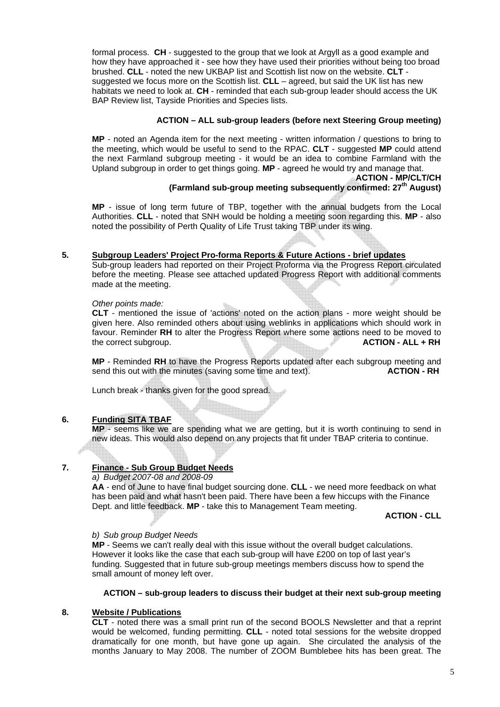formal process. **CH** - suggested to the group that we look at Argyll as a good example and how they have approached it - see how they have used their priorities without being too broad brushed. **CLL** - noted the new UKBAP list and Scottish list now on the website. **CLT** suggested we focus more on the Scottish list. **CLL** – agreed, but said the UK list has new habitats we need to look at. **CH** - reminded that each sub-group leader should access the UK BAP Review list, Tayside Priorities and Species lists.

### **ACTION – ALL sub-group leaders (before next Steering Group meeting)**

**MP** - noted an Agenda item for the next meeting - written information / questions to bring to the meeting, which would be useful to send to the RPAC. **CLT** - suggested **MP** could attend the next Farmland subgroup meeting - it would be an idea to combine Farmland with the Upland subgroup in order to get things going. **MP** - agreed he would try and manage that.

#### **ACTION - MP/CLT/CH (Farmland sub-group meeting subsequently confirmed: 27th August)**

**MP** - issue of long term future of TBP, together with the annual budgets from the Local Authorities. **CLL** - noted that SNH would be holding a meeting soon regarding this. **MP** - also noted the possibility of Perth Quality of Life Trust taking TBP under its wing.

#### **5. Subgroup Leaders' Project Pro-forma Reports & Future Actions - brief updates**

Sub-group leaders had reported on their Project Proforma via the Progress Report circulated before the meeting. Please see attached updated Progress Report with additional comments made at the meeting.

*Other points made:* 

**CLT** - mentioned the issue of 'actions' noted on the action plans - more weight should be given here. Also reminded others about using weblinks in applications which should work in favour. Reminder **RH** to alter the Progress Report where some actions need to be moved to the correct subgroup. **ACTION - ALL + RH** 

**MP** - Reminded **RH** to have the Progress Reports updated after each subgroup meeting and send this out with the minutes (saving some time and text). **ACTION - RH** 

Lunch break - thanks given for the good spread.

#### **6. Funding SITA TBAF**

**MP** - seems like we are spending what we are getting, but it is worth continuing to send in new ideas. This would also depend on any projects that fit under TBAP criteria to continue.

#### **7. Finance - Sub Group Budget Needs**

#### *a) Budget 2007-08 and 2008-09*

**AA** - end of June to have final budget sourcing done. **CLL** - we need more feedback on what has been paid and what hasn't been paid. There have been a few hiccups with the Finance Dept. and little feedback. **MP** - take this to Management Team meeting.

**ACTION - CLL**

#### *b) Sub group Budget Needs*

**MP** - Seems we can't really deal with this issue without the overall budget calculations. However it looks like the case that each sub-group will have £200 on top of last year's funding. Suggested that in future sub-group meetings members discuss how to spend the small amount of money left over.

### **ACTION – sub-group leaders to discuss their budget at their next sub-group meeting**

#### **8. Website / Publications**

**CLT** - noted there was a small print run of the second BOOLS Newsletter and that a reprint would be welcomed, funding permitting. **CLL** - noted total sessions for the website dropped dramatically for one month, but have gone up again. She circulated the analysis of the months January to May 2008. The number of ZOOM Bumblebee hits has been great. The